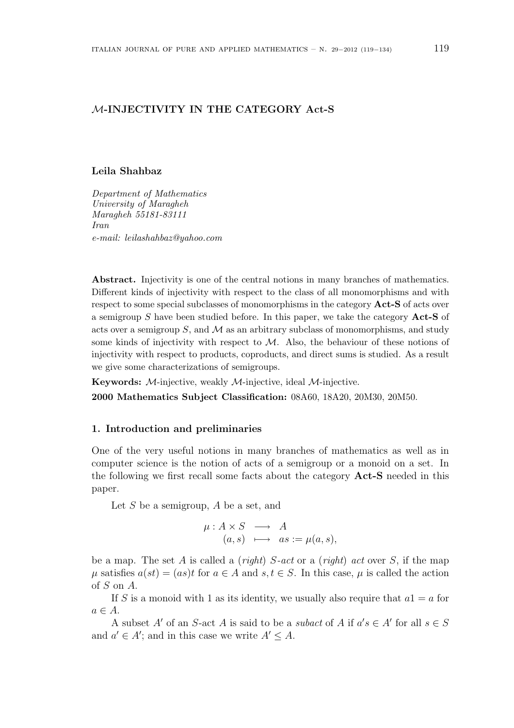# M-INJECTIVITY IN THE CATEGORY Act-S

#### Leila Shahbaz

Department of Mathematics University of Maragheh Maragheh 55181-83111 Iran e-mail: leilashahbaz@yahoo.com

Abstract. Injectivity is one of the central notions in many branches of mathematics. Different kinds of injectivity with respect to the class of all monomorphisms and with respect to some special subclasses of monomorphisms in the category **Act-S** of acts over a semigroup S have been studied before. In this paper, we take the category  $Act-S$  of acts over a semigroup  $S$ , and  $M$  as an arbitrary subclass of monomorphisms, and study some kinds of injectivity with respect to  $M$ . Also, the behaviour of these notions of injectivity with respect to products, coproducts, and direct sums is studied. As a result we give some characterizations of semigroups.

Keywords: M-injective, weakly M-injective, ideal M-injective.

2000 Mathematics Subject Classification: 08A60, 18A20, 20M30, 20M50.

#### 1. Introduction and preliminaries

One of the very useful notions in many branches of mathematics as well as in computer science is the notion of acts of a semigroup or a monoid on a set. In the following we first recall some facts about the category Act-S needed in this paper.

Let  $S$  be a semigroup,  $A$  be a set, and

$$
\begin{array}{rcl}\n\mu: A \times S & \longrightarrow & A \\
(a, s) & \longmapsto & as := \mu(a, s),\n\end{array}
$$

be a map. The set A is called a (*right*)  $S$ -act or a (*right*) act over S, if the map  $\mu$  satisfies  $a(st) = (as)t$  for  $a \in A$  and  $s, t \in S$ . In this case,  $\mu$  is called the action of S on A.

If S is a monoid with 1 as its identity, we usually also require that  $a1 = a$  for  $a \in A$ .

A subset A' of an S-act A is said to be a *subact* of A if  $a's \in A'$  for all  $s \in S$ and  $a' \in A'$ ; and in this case we write  $A' \leq A$ .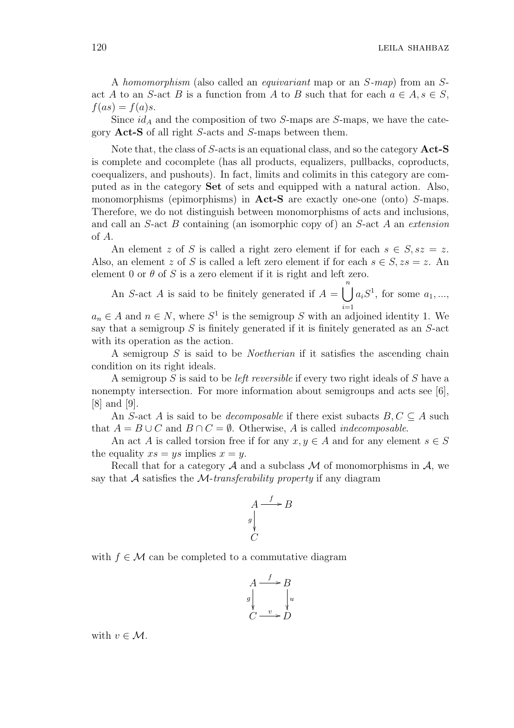A homomorphism (also called an equivariant map or an S-map) from an Sact A to an S-act B is a function from A to B such that for each  $a \in A$ ,  $s \in S$ ,  $f(as) = f(a)s.$ 

Since  $id_A$  and the composition of two S-maps are S-maps, we have the category Act-S of all right S-acts and S-maps between them.

Note that, the class of  $S$ -acts is an equational class, and so the category  $Act-S$ is complete and cocomplete (has all products, equalizers, pullbacks, coproducts, coequalizers, and pushouts). In fact, limits and colimits in this category are computed as in the category Set of sets and equipped with a natural action. Also, monomorphisms (epimorphisms) in **Act-S** are exactly one-one (onto) S-maps. Therefore, we do not distinguish between monomorphisms of acts and inclusions, and call an S-act B containing (an isomorphic copy of) an S-act A an extension of A.

An element z of S is called a right zero element if for each  $s \in S$ ,  $sz = z$ . Also, an element z of S is called a left zero element if for each  $s \in S$ ,  $zs = z$ . An element 0 or  $\theta$  of S is a zero element if it is right and left zero.

An S-act A is said to be finitely generated if  $A =$  $\binom{n}{k}$  $i=1$  $a_i S^1$ , for some  $a_1, ...,$ 

 $a_n \in A$  and  $n \in N$ , where  $S^1$  is the semigroup S with an adjoined identity 1. We say that a semigroup  $S$  is finitely generated if it is finitely generated as an  $S$ -act with its operation as the action.

A semigroup S is said to be Noetherian if it satisfies the ascending chain condition on its right ideals.

A semigroup S is said to be *left reversible* if every two right ideals of S have a nonempty intersection. For more information about semigroups and acts see [6], [8] and [9].

An S-act A is said to be *decomposable* if there exist subacts  $B, C \subseteq A$  such that  $A = B \cup C$  and  $B \cap C = \emptyset$ . Otherwise, A is called *indecomposable*.

An act A is called torsion free if for any  $x, y \in A$  and for any element  $s \in S$ the equality  $xs = ys$  implies  $x = y$ .

Recall that for a category  $A$  and a subclass  $M$  of monomorphisms in  $A$ , we say that  $A$  satisfies the  $M$ -transferability property if any diagram

$$
A \xrightarrow{f} B
$$
  
 
$$
\downarrow^{g} C
$$

with  $f \in \mathcal{M}$  can be completed to a commutative diagram

$$
A \xrightarrow{f} B
$$
  
g  

$$
\downarrow^{g}
$$
  

$$
C \xrightarrow{v} D
$$

with  $v \in \mathcal{M}$ .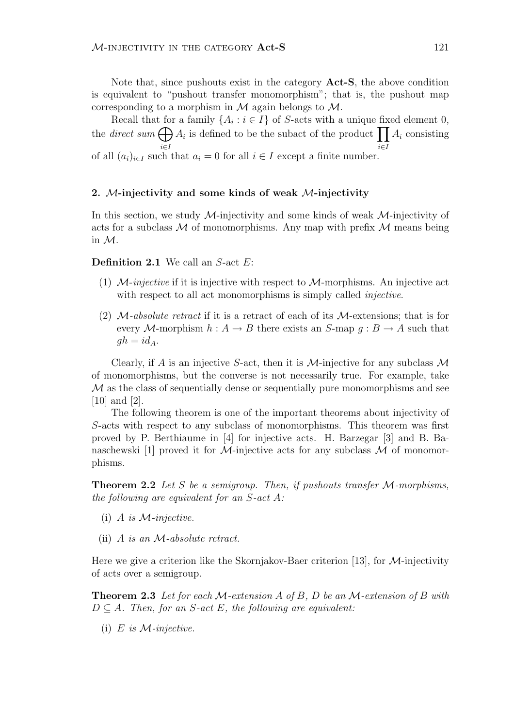Note that, since pushouts exist in the category Act-S, the above condition is equivalent to "pushout transfer monomorphism"; that is, the pushout map corresponding to a morphism in  $M$  again belongs to  $M$ .

Recall that for a family  $\{A_i : i \in I\}$  of S-acts with a unique fixed element 0, the *direct* sum  $\bigoplus$ i∈I a family  ${A_i : i \in I}$  or *S*-acts with a unique fix  $A_i$  is defined to be the subact of the product  $\prod$ i∈I  $A_i$  consisting of all  $(a_i)_{i\in I}$  such that  $a_i = 0$  for all  $i \in I$  except a finite number.

### 2. M-injectivity and some kinds of weak M-injectivity

In this section, we study  $\mathcal{M}$ -injectivity and some kinds of weak  $\mathcal{M}$ -injectivity of acts for a subclass  $\mathcal M$  of monomorphisms. Any map with prefix  $\mathcal M$  means being in M.

**Definition 2.1** We call an  $S$ -act  $E$ :

- (1)  $M$ -injective if it is injective with respect to  $M$ -morphisms. An injective act with respect to all act monomorphisms is simply called *injective*.
- (2)  $\mathcal{M}-absolute$  retract if it is a retract of each of its  $\mathcal{M}-extension$ ; that is for every M-morphism  $h: A \to B$  there exists an S-map  $q: B \to A$  such that  $gh = id_A$ .

Clearly, if A is an injective S-act, then it is  $\mathcal{M}$ -injective for any subclass  $\mathcal M$ of monomorphisms, but the converse is not necessarily true. For example, take  $\mathcal M$  as the class of sequentially dense or sequentially pure monomorphisms and see [10] and [2].

The following theorem is one of the important theorems about injectivity of S-acts with respect to any subclass of monomorphisms. This theorem was first proved by P. Berthiaume in [4] for injective acts. H. Barzegar [3] and B. Banaschewski [1] proved it for M-injective acts for any subclass  $\mathcal M$  of monomorphisms.

**Theorem 2.2** Let S be a semigroup. Then, if pushouts transfer  $M$ -morphisms, the following are equivalent for an  $S$ -act  $A$ :

- (i) A is  $M$ -injective.
- (ii) A is an M-absolute retract.

Here we give a criterion like the Skornjakov-Baer criterion [13], for  $M$ -injectivity of acts over a semigroup.

**Theorem 2.3** Let for each  $M$ -extension A of B, D be an  $M$ -extension of B with  $D \subseteq A$ . Then, for an S-act E, the following are equivalent:

(i) E is  $M$ -injective.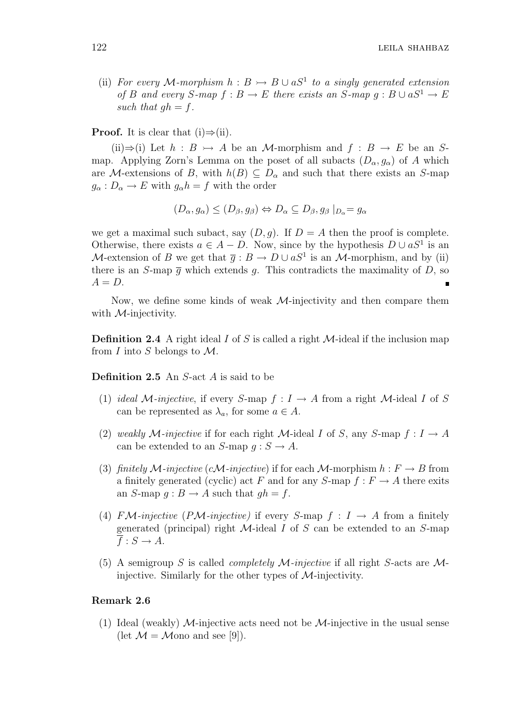(ii) For every M-morphism  $h : B \rightarrow B \cup aS^1$  to a singly generated extension of B and every S-map  $f : B \to E$  there exists an S-map  $q : B \cup aS^1 \to E$ such that  $qh = f$ .

**Proof.** It is clear that  $(i) \Rightarrow (ii)$ .

(ii)⇒(i) Let  $h : B \rightarrow A$  be an M-morphism and  $f : B \rightarrow E$  be an Smap. Applying Zorn's Lemma on the poset of all subacts  $(D_{\alpha}, g_{\alpha})$  of A which are M-extensions of B, with  $h(B) \subseteq D_{\alpha}$  and such that there exists an S-map  $g_{\alpha}: D_{\alpha} \to E$  with  $g_{\alpha}h = f$  with the order

$$
(D_{\alpha}, g_{\alpha}) \leq (D_{\beta}, g_{\beta}) \Leftrightarrow D_{\alpha} \subseteq D_{\beta}, g_{\beta} |_{D_{\alpha}} = g_{\alpha}
$$

we get a maximal such subact, say  $(D, q)$ . If  $D = A$  then the proof is complete. Otherwise, there exists  $a \in A - D$ . Now, since by the hypothesis  $D \cup aS^1$  is an M-extension of B we get that  $\bar{g}: B \to D \cup aS^1$  is an M-morphism, and by (ii) there is an S-map  $\overline{q}$  which extends q. This contradicts the maximality of D, so  $A = D$ .

Now, we define some kinds of weak  $\mathcal{M}$ -injectivity and then compare them with  $M$ -injectivity.

**Definition 2.4** A right ideal I of S is called a right  $M$ -ideal if the inclusion map from I into S belongs to  $\mathcal{M}$ .

Definition 2.5 An S-act A is said to be

- (1) ideal M-injective, if every S-map  $f: I \to A$  from a right M-ideal I of S can be represented as  $\lambda_a$ , for some  $a \in A$ .
- (2) weakly M-injective if for each right M-ideal I of S, any S-map  $f: I \to A$ can be extended to an  $S$ -map  $q : S \to A$ .
- (3) finitely M-injective (cM-injective) if for each M-morphism  $h : F \to B$  from a finitely generated (cyclic) act F and for any  $S$ -map  $f : F \to A$  there exits an S-map  $q : B \to A$  such that  $q h = f$ .
- (4) FM-injective (PM-injective) if every S-map  $f: I \rightarrow A$  from a finitely generated (principal) right  $\mathcal M$ -ideal  $I$  of  $S$  can be extended to an  $S$ -map  $\overline{f}: S \to A$ .
- (5) A semigroup S is called *completely M-injective* if all right S-acts are  $M$ injective. Similarly for the other types of M-injectivity.

### Remark 2.6

(1) Ideal (weakly)  $\mathcal{M}$ -injective acts need not be  $\mathcal{M}$ -injective in the usual sense (let  $\mathcal{M} = \mathcal{M}$ ono and see [9]).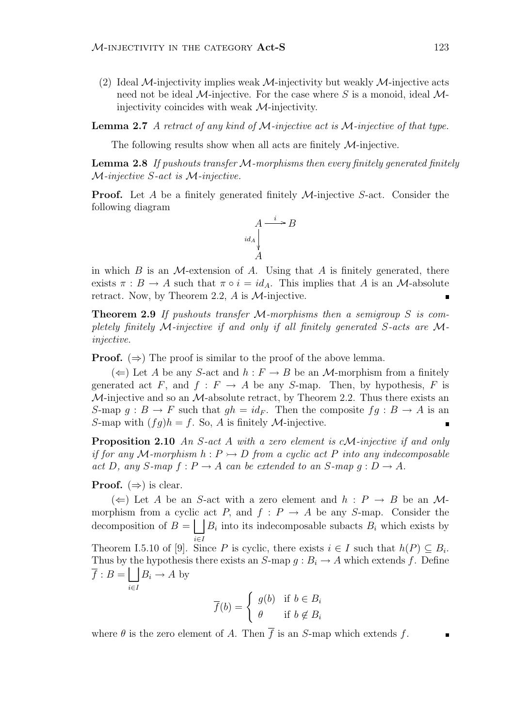(2) Ideal M-injectivity implies weak M-injectivity but weakly M-injective acts need not be ideal M-injective. For the case where S is a monoid, ideal  $M$ injectivity coincides with weak M-injectivity.

**Lemma 2.7** A retract of any kind of  $M$ -injective act is  $M$ -injective of that type.

The following results show when all acts are finitely  $M$ -injective.

**Lemma 2.8** If pushouts transfer  $M$ -morphisms then every finitely generated finitely M-injective S-act is M-injective.

**Proof.** Let A be a finitely generated finitely  $M$ -injective S-act. Consider the following diagram



in which  $B$  is an  $M$ -extension of  $A$ . Using that  $A$  is finitely generated, there exists  $\pi : B \to A$  such that  $\pi \circ i = id_A$ . This implies that A is an M-absolute retract. Now, by Theorem 2.2,  $A$  is  $M$ -injective.

**Theorem 2.9** If pushouts transfer  $M$ -morphisms then a semigroup S is completely finitely M-injective if and only if all finitely generated S-acts are Minjective.

**Proof.**  $(\Rightarrow)$  The proof is similar to the proof of the above lemma.

 $(\Leftarrow)$  Let A be any S-act and  $h : F \to B$  be an M-morphism from a finitely generated act F, and  $f : F \to A$  be any S-map. Then, by hypothesis, F is  $M$ -injective and so an  $M$ -absolute retract, by Theorem 2.2. Thus there exists an S-map  $g : B \to F$  such that  $gh = id_F$ . Then the composite  $fg : B \to A$  is an S-map with  $(fq)h = f$ . So, A is finitely M-injective.  $\blacksquare$ 

**Proposition 2.10** An S-act A with a zero element is cM-injective if and only if for any M-morphism  $h : P \rightarrowtail D$  from a cyclic act P into any indecomposable act D, any S-map  $f: P \to A$  can be extended to an S-map  $g: D \to A$ .

# **Proof.**  $(\Rightarrow)$  is clear.

 $(\Leftarrow)$  Let A be an S-act with a zero element and  $h : P \to B$  be an Mmorphism from a cyclic act  $P$ , and  $f : P \to A$  be any S-map. Consider the decomposition of  $B = \int |B_i|$  into its indecomposable subacts  $B_i$  which exists by i∈I Theorem I.5.10 of [9]. Since P is cyclic, there exists  $i \in I$  such that  $h(P) \subseteq B_i$ . Thus by the hypothesis there exists an  $S$ -map  $g : B_i \to A$  which extends f. Define  $f : B =$ i∈I  $B_i \to A$  by  $\overline{f}(b) = \begin{cases}$  $\left(\begin{array}{cc} & & \text{if } b \end{array}\right)$ 

$$
\overline{f}(b) = \begin{cases} g(b) & \text{if } b \in B_i \\ \theta & \text{if } b \notin B_i \end{cases}
$$

where  $\theta$  is the zero element of A. Then  $\overline{f}$  is an S-map which extends f.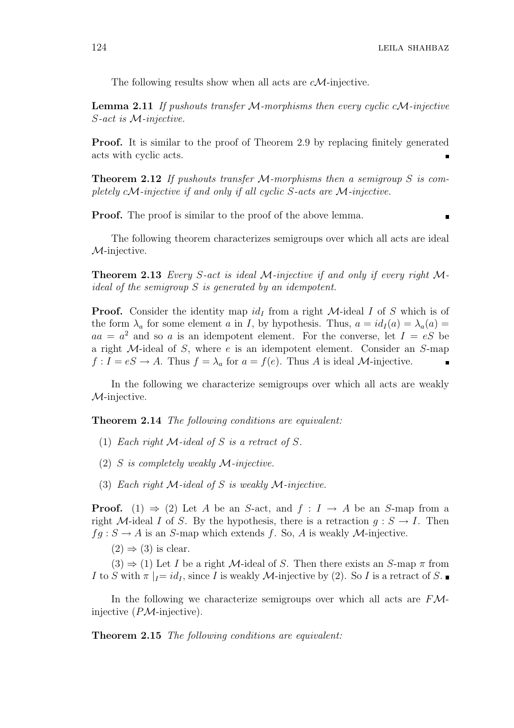The following results show when all acts are  $c\mathcal{M}$ -injective.

**Lemma 2.11** If pushouts transfer  $M$ -morphisms then every cyclic cM-injective S-act is M-injective.

Proof. It is similar to the proof of Theorem 2.9 by replacing finitely generated acts with cyclic acts.

**Theorem 2.12** If pushouts transfer  $M$ -morphisms then a semigroup S is completely  $cM$ -injective if and only if all cyclic S-acts are M-injective.

**Proof.** The proof is similar to the proof of the above lemma.

The following theorem characterizes semigroups over which all acts are ideal M-injective.

**Theorem 2.13** Every S-act is ideal M-injective if and only if every right  $M$ ideal of the semigroup S is generated by an idempotent.

**Proof.** Consider the identity map  $id_I$  from a right  $M$ -ideal I of S which is of the form  $\lambda_a$  for some element a in I, by hypothesis. Thus,  $a = id_I(a) = \lambda_a(a)$  $aa = a^2$  and so a is an idempotent element. For the converse, let  $I = eS$  be a right M-ideal of S, where e is an idempotent element. Consider an S-map  $f: I = eS \to A$ . Thus  $f = \lambda_a$  for  $a = f(e)$ . Thus A is ideal M-injective.

In the following we characterize semigroups over which all acts are weakly M-injective.

Theorem 2.14 The following conditions are equivalent:

- (1) Each right  $\mathcal M$ -ideal of S is a retract of S.
- (2) S is completely weakly  $\mathcal{M}\text{-}\text{injective}.$
- (3) Each right  $\mathcal M$ -ideal of S is weakly  $\mathcal M$ -injective.

**Proof.** (1)  $\Rightarrow$  (2) Let A be an S-act, and  $f: I \rightarrow A$  be an S-map from a right M-ideal I of S. By the hypothesis, there is a retraction  $g : S \to I$ . Then  $fg : S \to A$  is an S-map which extends f. So, A is weakly M-injective.

 $(2) \Rightarrow (3)$  is clear.

 $(3) \Rightarrow (1)$  Let I be a right M-ideal of S. Then there exists an S-map  $\pi$  from I to S with  $\pi |_{I} = id_{I}$ , since I is weakly M-injective by (2). So I is a retract of S.

In the following we characterize semigroups over which all acts are  $F\mathcal{M}$ injective  $(PM$ -injective).

Theorem 2.15 The following conditions are equivalent: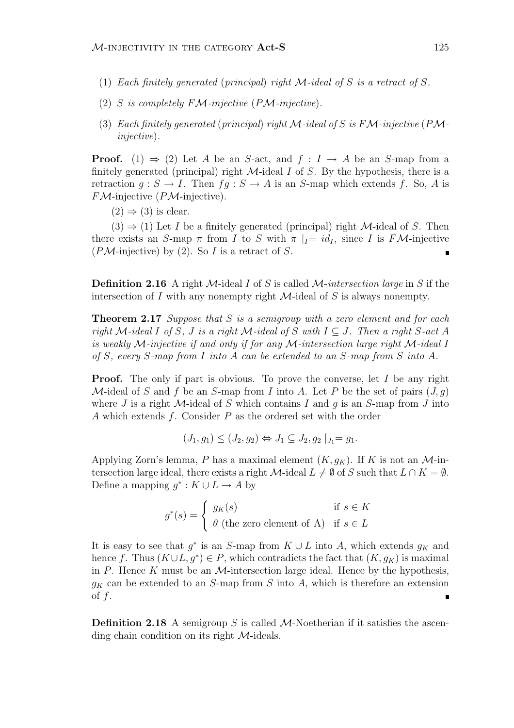- (1) Each finitely generated (principal) right M-ideal of S is a retract of S.
- (2) S is completely  $F\mathcal{M}\text{-}\text{injective}$  (PM-injective).
- (3) Each finitely generated (principal) right  $\mathcal M$ -ideal of S is F $\mathcal M$ -injective (P $\mathcal M$ injective).

**Proof.** (1)  $\Rightarrow$  (2) Let A be an S-act, and  $f : I \rightarrow A$  be an S-map from a finitely generated (principal) right  $M$ -ideal  $I$  of  $S$ . By the hypothesis, there is a retraction  $q : S \to I$ . Then  $fq : S \to A$  is an S-map which extends f. So, A is  $F\mathcal{M}$ -injective ( $P\mathcal{M}$ -injective).

 $(2) \Rightarrow (3)$  is clear.

 $(3) \Rightarrow (1)$  Let I be a finitely generated (principal) right M-ideal of S. Then there exists an S-map  $\pi$  from I to S with  $\pi |_{I} = id_{I}$ , since I is FM-injective  $(PM\text{-injective})$  by (2). So I is a retract of S.  $\blacksquare$ 

**Definition 2.16** A right M-ideal I of S is called M-intersection large in S if the intersection of  $I$  with any nonempty right  $M$ -ideal of  $S$  is always nonempty.

**Theorem 2.17** Suppose that  $S$  is a semigroup with a zero element and for each right M-ideal I of S, J is a right M-ideal of S with  $I \subseteq J$ . Then a right S-act A is weakly M-injective if and only if for any M-intersection large right M-ideal I of S, every S-map from I into A can be extended to an S-map from S into A.

**Proof.** The only if part is obvious. To prove the converse, let I be any right M-ideal of S and f be an S-map from I into A. Let P be the set of pairs  $(J, g)$ where J is a right  $\mathcal M$ -ideal of S which contains I and q is an S-map from J into A which extends  $f$ . Consider  $P$  as the ordered set with the order

$$
(J_1, g_1) \le (J_2, g_2) \Leftrightarrow J_1 \subseteq J_2, g_2 |_{J_1} = g_1.
$$

Applying Zorn's lemma, P has a maximal element  $(K, g_K)$ . If K is not an M-intersection large ideal, there exists a right  $\mathcal{M}\text{-ideal }L \neq \emptyset$  of S such that  $L \cap K = \emptyset$ . Define a mapping  $g^*: K \cup L \to A$  by

$$
g^*(s) = \begin{cases} g_K(s) & \text{if } s \in K \\ \theta \text{ (the zero element of A)} & \text{if } s \in L \end{cases}
$$

It is easy to see that  $g^*$  is an S-map from  $K \cup L$  into A, which extends  $g_K$  and hence f. Thus  $(K \cup L, g^*) \in P$ , which contradicts the fact that  $(K, g_K)$  is maximal in P. Hence K must be an  $M$ -intersection large ideal. Hence by the hypothesis,  $g_K$  can be extended to an S-map from S into A, which is therefore an extension of  $f$ .

**Definition 2.18** A semigroup S is called M-Noetherian if it satisfies the ascending chain condition on its right  $M$ -ideals.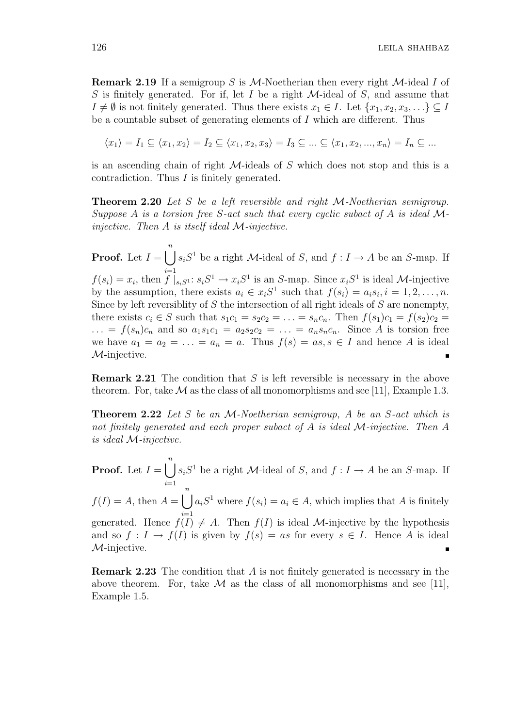**Remark 2.19** If a semigroup S is M-Noetherian then every right M-ideal I of S is finitely generated. For if, let I be a right  $M$ -ideal of S, and assume that  $I \neq \emptyset$  is not finitely generated. Thus there exists  $x_1 \in I$ . Let  $\{x_1, x_2, x_3, \ldots\} \subseteq I$ be a countable subset of generating elements of I which are different. Thus

$$
\langle x_1 \rangle = I_1 \subseteq \langle x_1, x_2 \rangle = I_2 \subseteq \langle x_1, x_2, x_3 \rangle = I_3 \subseteq \dots \subseteq \langle x_1, x_2, \dots, x_n \rangle = I_n \subseteq \dots
$$

is an ascending chain of right M-ideals of S which does not stop and this is a contradiction. Thus I is finitely generated.

Theorem 2.20 Let S be a left reversible and right M-Noetherian semigroup. Suppose A is a torsion free S-act such that every cyclic subact of A is ideal  $M$ injective. Then  $A$  is itself ideal  $M$ -injective.

 $\binom{n}{k}$  $s_iS^1$  be a right M-ideal of S, and  $f: I \to A$  be an S-map. If **Proof.** Let  $I =$  $i=1$  $f(s_i) = x_i$ , then  $f|_{s_iS^1}: s_iS^1 \to x_iS^1$  is an S-map. Since  $x_iS^1$  is ideal M-injective by the assumption, there exists  $a_i \in x_i S^1$  such that  $f(s_i) = a_i s_i, i = 1, 2, \ldots, n$ . Since by left reversiblity of  $S$  the intersection of all right ideals of  $S$  are nonempty, there exists  $c_i \in S$  such that  $s_1c_1 = s_2c_2 = \ldots = s_nc_n$ . Then  $f(s_1)c_1 = f(s_2)c_2 =$  $\ldots = f(s_n)c_n$  and so  $a_1s_1c_1 = a_2s_2c_2 = \ldots = a_ns_nc_n$ . Since A is torsion free we have  $a_1 = a_2 = \ldots = a_n = a$ . Thus  $f(s) = as, s \in I$  and hence A is ideal M-injective. π

**Remark 2.21** The condition that S is left reversible is necessary in the above theorem. For, take  $\mathcal M$  as the class of all monomorphisms and see [11], Example 1.3.

**Theorem 2.22** Let S be an M-Noetherian semigroup, A be an S-act which is not finitely generated and each proper subact of A is ideal M-injective. Then A is ideal M-injective.

**Proof.** Let  $I =$  $\binom{n}{k}$  $i=1$  $s_iS^1$  be a right M-ideal of S, and  $f: I \to A$  be an S-map. If  $f(I) = A$ , then  $A =$  $\binom{n}{k}$  $i=1$  $a_i S^1$  where  $f(s_i) = a_i \in A$ , which implies that A is finitely generated. Hence  $f(I) \neq A$ . Then  $f(I)$  is ideal *M*-injective by the hypothesis and so  $f: I \to f(I)$  is given by  $f(s) = as$  for every  $s \in I$ . Hence A is ideal M-injective.

Remark 2.23 The condition that A is not finitely generated is necessary in the above theorem. For, take  $\mathcal M$  as the class of all monomorphisms and see [11], Example 1.5.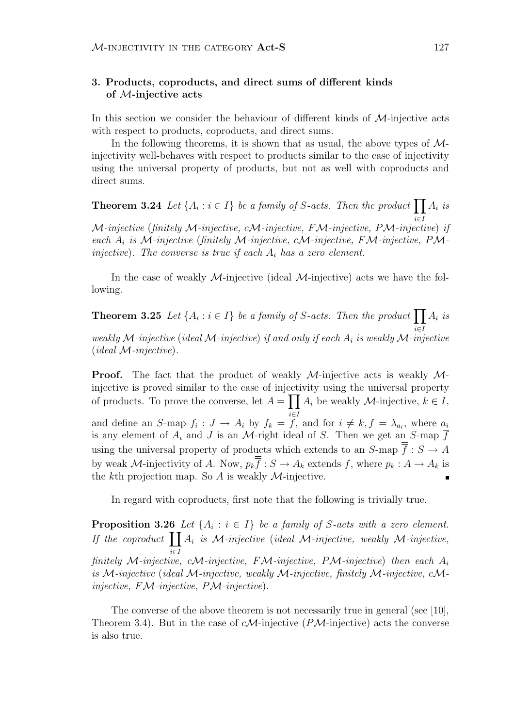# 3. Products, coproducts, and direct sums of different kinds of M-injective acts

In this section we consider the behaviour of different kinds of  $\mathcal{M}$ -injective acts with respect to products, coproducts, and direct sums.

In the following theorems, it is shown that as usual, the above types of  $\mathcal{M}$ injectivity well-behaves with respect to products similar to the case of injectivity using the universal property of products, but not as well with coproducts and direct sums.

**Theorem 3.24** Let  $\{A_i : i \in I\}$  be a family of S-acts. Then the product  $\prod A_i$  is i∈I M-injective (finitely M-injective, cM-injective, FM-injective, PM-injective) if each  $A_i$  is M-injective (finitely M-injective, cM-injective, FM-injective, PMinjective). The converse is true if each  $A_i$  has a zero element.

In the case of weakly  $M$ -injective (ideal  $M$ -injective) acts we have the following.

**Theorem 3.25** Let  $\{A_i : i \in I\}$  be a family of S-acts. Then the product  $\prod$ i∈I  $A_i$  is weakly M-injective (ideal M-injective) if and only if each  $A_i$  is weakly M-injective  $(ideal \mathcal{M}\textrm{-}injective).$ 

**Proof.** The fact that the product of weakly  $M$ -injective acts is weakly  $M$ injective is proved similar to the case of injectivity using the universal property of products. To prove the converse, let  $A = \prod A_i$  be weakly *M*-injective,  $k \in I$ , and define an S-map  $f_i: J \to A_i$  by  $f_k = \overline{f}$ , and for  $i \neq k, f = \lambda_{a_i}$ , where  $a_i$ is any element of  $A_i$  and J is an M-right ideal of S. Then we get an S-map  $\overline{f}$ using the universal property of products which extends to an  $S$ -map  $\overline{\overline{f}} : S \to A$ by weak M-injectivity of A. Now,  $p_k \overline{f} : S \to A_k$  extends f, where  $p_k : A \to A_k$  is the kth projection map. So  $A$  is weakly  $M$ -injective.

In regard with coproducts, first note that the following is trivially true.

**Proposition 3.26** Let  $\{A_i : i \in I\}$  be a family of S-acts with a zero element. **Proposition 5.20**<br>If the coproduct  $\prod$ i∈I  $A_i$  is M-injective (ideal M-injective, weakly M-injective, finitely M-injective, cM-injective, FM-injective, PM-injective) then each  $A_i$ is M-injective (ideal M-injective, weakly M-injective, finitely M-injective,  $cM$ injective,  $F\mathcal{M}\text{-}\text{injective}, P\mathcal{M}\text{-}\text{injective}.$ 

The converse of the above theorem is not necessarily true in general (see [10], Theorem 3.4). But in the case of  $cM$ -injective (PM-injective) acts the converse is also true.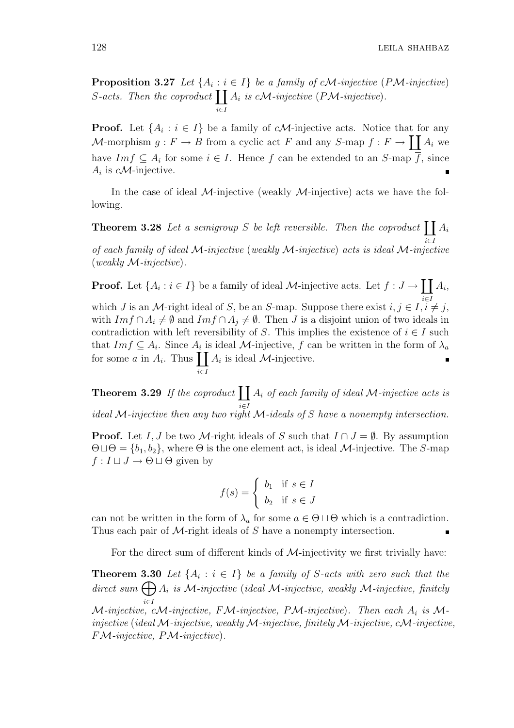128 LEILA SHAHBAZ

**Proposition 3.27** Let  $\{A_i : i \in I\}$  be a family of cM-injective (PM-injective) **Proposition 3.27** Let  ${A_i : i}$ <br>S-acts. Then the coproduct  $\prod$ i∈I  $A_i$  is cM-injective (PM-injective).

**Proof.** Let  $\{A_i : i \in I\}$  be a family of cM-injective acts. Notice that for any **Proof.** Let  $\{A_i : i \in I\}$  be a family of cN-milective acts. Notice that for any  $M$ -morphism  $g : F \to B$  from a cyclic act F and any  $S$ -map  $f : F \to \prod A_i$  we have  $Im f \subseteq A_i$  for some  $i \in I$ . Hence f can be extended to an S-map  $\overline{f}$ , since  $A_i$  is *cM*-injective.

In the case of ideal M-injective (weakly  $M$ -injective) acts we have the following.

**Theorem 3.28** Let a semigroup S be left reversible. Then the coproduct  $\prod A_i$ i∈I of each family of ideal M-injective (weakly M-injective) acts is ideal M-injective (weakly M-injective).

**Proof.** Let  $\{A_i : i \in I\}$  be a family of ideal M-injective acts. Let  $f : J \to$  $\overline{r}$ i∈I  $A_i,$ which J is an M-right ideal of S, be an S-map. Suppose there exist  $i, j \in I, i \neq j$ , with  $Im f \cap A_i \neq \emptyset$  and  $Im f \cap A_j \neq \emptyset$ . Then *J* is a disjoint union of two ideals in contradiction with left reversibility of S. This implies the existence of  $i \in I$  such that  $Im f \subseteq A_i$ . Since  $A_i$  is ideal M-injective, f can be written in the form of  $\lambda_a$ that  $Im f \subseteq A_i$ . Since  $A_i$  is ideal *M*-injective, *f* can<br>for some *a* in  $A_i$ . Thus  $\prod A_i$  is ideal *M*-injective. i∈I

Theorem 3.29 If the coproduct  $\prod$ i∈I  $A_i$  of each family of ideal M-injective acts is ideal M-injective then any two right M-ideals of S have a nonempty intersection.

**Proof.** Let I, J be two M-right ideals of S such that  $I \cap J = \emptyset$ . By assumption  $\Theta \sqcup \Theta = \{b_1, b_2\}$ , where  $\Theta$  is the one element act, is ideal *M*-injective. The *S*-map  $f: I \sqcup J \rightarrow \Theta \sqcup \Theta$  given by

$$
f(s) = \begin{cases} b_1 & \text{if } s \in I \\ b_2 & \text{if } s \in J \end{cases}
$$

can not be written in the form of  $\lambda_a$  for some  $a \in \Theta \sqcup \Theta$  which is a contradiction. Thus each pair of *M*-right ideals of *S* have a nonempty intersection.

For the direct sum of different kinds of  $M$ -injectivity we first trivially have:

**Theorem 3.30** Let  $\{A_i : i \in I\}$  be a family of S-acts with zero such that the **Theorem 3.30** Let  $\{A_i : i \in I\}$  be a family of S-acts with zero such that the direct sum  $\bigoplus A_i$  is M-injective (ideal M-injective, weakly M-injective, finitely i∈I M-injective, cM-injective, FM-injective, PM-injective). Then each  $A_i$  is Minjective (ideal M-injective, weakly M-injective, finitely M-injective, cM-injective, FM-injective, PM-injective).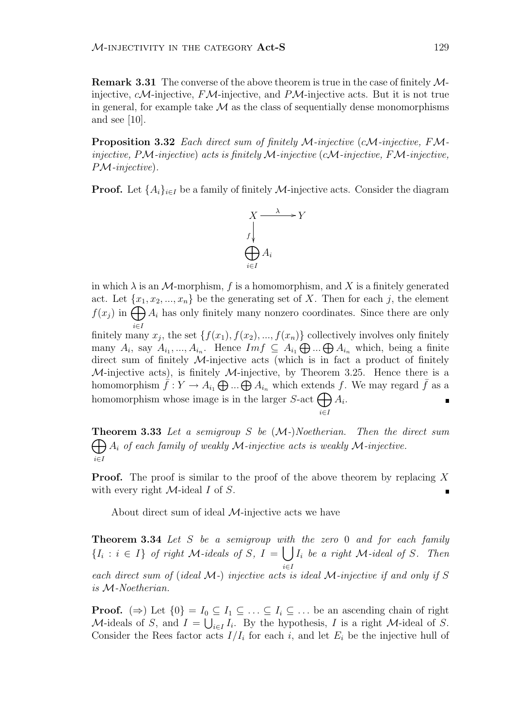Remark 3.31 The converse of the above theorem is true in the case of finitely Minjective,  $cM$ -injective,  $FM$ -injective, and  $PM$ -injective acts. But it is not true in general, for example take  $\mathcal M$  as the class of sequentially dense monomorphisms and see [10].

**Proposition 3.32** Each direct sum of finitely  $M$ -injective (cM-injective, FMinjective, PM-injective) acts is finitely M-injective (cM-injective, FM-injective, PM-injective).

**Proof.** Let  $\{A_i\}_{i\in I}$  be a family of finitely M-injective acts. Consider the diagram



in which  $\lambda$  is an M-morphism, f is a homomorphism, and X is a finitely generated act. Let  $\{x_1, x_2, ..., x_n\}$  be the generating set of X. Then for each j, the element act. Let  $\{x_1, x_2, ..., x_n\}$  be the generating set of  $\Lambda$ . Then for each j, the element  $f(x_j)$  in  $\bigoplus A_i$  has only finitely many nonzero coordinates. Since there are only i∈I finitely many  $x_j$ , the set  $\{f(x_1), f(x_2), ..., f(x_n)\}$  collectively involves only finitely nmiery many  $x_j$ , the set  $\{f(x_1), f(x_2), ..., f(x_n)\}$  conectively involves only inherity<br>many  $A_i$ , say  $A_{i_1}, ..., A_{i_n}$ . Hence  $Im f \subseteq A_{i_1} \bigoplus ... \bigoplus A_{i_n}$  which, being a finite direct sum of finitely  $M$ -injective acts (which is in fact a product of finitely  $M$ -injective acts), is finitely  $M$ -injective, by Theorem 3.25. Hence there is a *N*-injective acts), is inherefore  $M$ -injective, by Theorem 5.25. Hence there is a homomorphism  $\bar{f}: Y \to A_{i_1} \bigoplus ... \bigoplus A_{i_n}$  which extends f. We may regard  $\bar{f}$  as a homomorphism  $j: I \to A_{i_1} \bigoplus ... \bigoplus A_{i_n}$  which extends<br>homomorphism whose image is in the larger S-act  $\bigoplus$  $A_i$ .  $\blacksquare$ 

**Theorem 3.33** Let a semigroup S be  $(M-)Noetherian$ . Then the direct sum i∈I  $A_i$  of each family of weakly M-injective acts is weakly M-injective.

i∈I

**Proof.** The proof is similar to the proof of the above theorem by replacing  $X$ with every right  $M$ -ideal I of S.

About direct sum of ideal  $M$ -injective acts we have

**Theorem 3.34** Let  $S$  be a semigroup with the zero 0 and for each family  $\{I_i : i \in I\}$  of right M-ideals of S, I = i∈I  $I_i$  be a right  $M$ -ideal of S. Then each direct sum of (ideal  $M$ -) injective acts is ideal  $M$ -injective if and only if  $S$ is M-Noetherian.

**Proof.**  $(\Rightarrow)$  Let  $\{0\} = I_0 \subseteq I_1 \subseteq \dots \subseteq I_i \subseteq \dots$  be an ascending chain of right M-ideals of S, and  $I = \bigcup_{i \in I} I_i$ . By the hypothesis, I is a right M-ideal of S. Consider the Rees factor acts  $I/I_i$  for each i, and let  $E_i$  be the injective hull of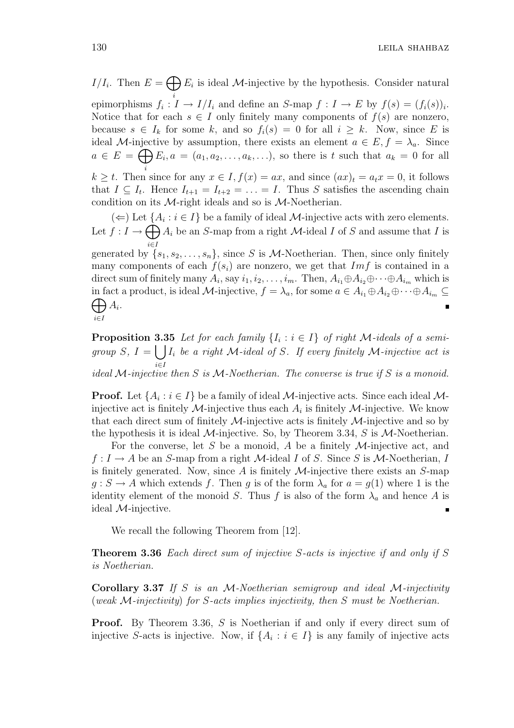$I/I_i$ . Then  $E=$  $\sim$ i  $E_i$  is ideal M-injective by the hypothesis. Consider natural epimorphisms  $f_i: I \to I/I_i$  and define an S-map  $f: I \to E$  by  $f(s) = (f_i(s))_i$ . Notice that for each  $s \in I$  only finitely many components of  $f(s)$  are nonzero, because  $s \in I_k$  for some k, and so  $f_i(s) = 0$  for all  $i \geq k$ . Now, since E is ideal M-injective by assumption, there exists an element  $a \in E$ ,  $f = \lambda_a$ . Since  $a \in E = \bigoplus E_i, a = (a_1, a_2, \ldots, a_k, \ldots),$  so there is t such that  $a_k = 0$  for all  $k \geq t$ . Then since for any  $x \in I$ ,  $f(x) = ax$ , and since  $(ax)_t = a_t x = 0$ , it follows that  $I \subseteq I_t$ . Hence  $I_{t+1} = I_{t+2} = \ldots = I$ . Thus S satisfies the ascending chain condition on its  $M$ -right ideals and so is  $M$ -Noetherian.

(←) Let  $\{A_i : i \in I\}$  be a family of ideal *M*-injective acts with zero elements. Let  $f: I \to \bigoplus A_i$  be an S-map from a right M-ideal I of S and assume that I is i∈I generated by  $\{s_1, s_2, \ldots, s_n\}$ , since S is M-Noetherian. Then, since only finitely many components of each  $f(s_i)$  are nonzero, we get that  $Im f$  is contained in a direct sum of finitely many  $A_i$ , say  $i_1, i_2, \ldots, i_m$ . Then,  $A_{i_1} \oplus A_{i_2} \oplus \cdots \oplus A_{i_m}$  which is in fact a product, is ideal M-injective,  $f = \lambda_a$ , for some  $a \in A_{i_1} \oplus A_{i_2} \oplus \cdots \oplus A_{i_m} \subseteq$  $A_i$ .  $\blacksquare$ i∈I

**Proposition 3.35** Let for each family  $\{I_i : i \in I\}$  of right M-ideals of a semigroup S,  $I = \bigcup I_i$  be a right M-ideal of S. If every finitely M-injective act is ical M-injective then S is M-Noetherian. The converse is true if S is a monoid.

**Proof.** Let  $\{A_i : i \in I\}$  be a family of ideal M-injective acts. Since each ideal Minjective act is finitely  $\mathcal{M}$ -injective thus each  $A_i$  is finitely  $\mathcal{M}$ -injective. We know that each direct sum of finitely  $\mathcal{M}$ -injective acts is finitely  $\mathcal{M}$ -injective and so by the hypothesis it is ideal  $\mathcal{M}\text{-injective}$ . So, by Theorem 3.34, S is  $\mathcal{M}\text{-Noetherian}$ .

For the converse, let S be a monoid, A be a finitely  $M$ -injective act, and  $f: I \to A$  be an S-map from a right M-ideal I of S. Since S is M-Noetherian, I is finitely generated. Now, since  $A$  is finitely  $M$ -injective there exists an  $S$ -map  $g : S \to A$  which extends f. Then g is of the form  $\lambda_a$  for  $a = g(1)$  where 1 is the identity element of the monoid S. Thus f is also of the form  $\lambda_a$  and hence A is ideal M-injective.

We recall the following Theorem from [12].

Theorem 3.36 Each direct sum of injective S-acts is injective if and only if S is Noetherian.

Corollary 3.37 If S is an M-Noetherian semigroup and ideal M-injectivity (weak M-injectivity) for S-acts implies injectivity, then S must be Noetherian.

Proof. By Theorem 3.36, S is Noetherian if and only if every direct sum of injective S-acts is injective. Now, if  $\{A_i : i \in I\}$  is any family of injective acts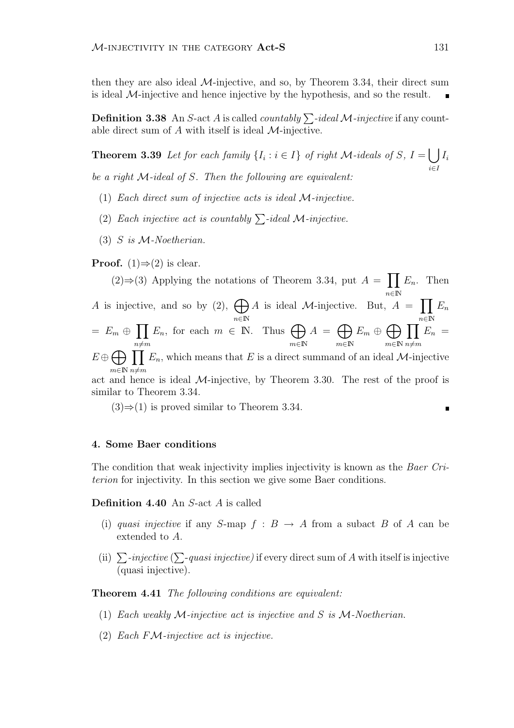then they are also ideal M-injective, and so, by Theorem 3.34, their direct sum is ideal  $M$ -injective and hence injective by the hypothesis, and so the result.

**Definition 3.38** An S-act A is called *countably*  $\sum$ -ideal M-injective if any countable direct sum of  $A$  with itself is ideal  $M$ -injective.

**Theorem 3.39** Let for each family  $\{I_i : i \in I\}$  of right M-ideals of S, I =  $\overline{a}$ i∈I  $I_i$ be a right  $\mathcal{M}\text{-ideal}$  of S. Then the following are equivalent:

- (1) Each direct sum of injective acts is ideal M-injective.
- (2) Each injective act is countably  $\sum$ -ideal M-injective.
- $(3)$  S is M-Noetherian.

**Proof.** (1) $\Rightarrow$ (2) is clear.

 $(2) \Rightarrow (3)$  Applying the notations of Theorem 3.34, put A =  $\overline{y}$  $n \in \mathbb{N}$  $E_n$ . Then A is injective, and so by (2),  $\bigoplus$  $n \in \mathbb{N}$ A is ideal M-injective. But,  $A =$  $\overline{v}$  $n \in \mathbb{N}$  $E_n$  $= E_m \oplus$  $\overline{y}$  $n \neq m$  $E_n$ , for each  $m \in \mathbb{N}$ . Thus  $\bigoplus$  $m \in \mathbb{N}$  $A =$  $\sim$  $m {\in} \mathbb{N}$  $E_m \oplus$  $\sim$  $m \in \mathbb{N}$  $\mathbf{r}$  $n \neq m$  $E_n =$  $\overbrace{\phantom{1}}^{n\neq i}$ 

 $E \oplus$  $m \in \mathbb{N}$   $n \neq m$  $E_n$ , which means that E is a direct summand of an ideal M-injective

act and hence is ideal  $M$ -injective, by Theorem 3.30. The rest of the proof is similar to Theorem 3.34.

 $(3) \Rightarrow (1)$  is proved similar to Theorem 3.34.

#### 4. Some Baer conditions

The condition that weak injectivity implies injectivity is known as the Baer Criterion for injectivity. In this section we give some Baer conditions.

Definition 4.40 An S-act A is called

- (i) quasi injective if any S-map  $f : B \to A$  from a subact B of A can be extended to A.
- (ii)  $\sum$ -injective ( $\sum$ -quasi injective) if every direct sum of A with itself is injective (quasi injective).

Theorem 4.41 The following conditions are equivalent:

- (1) Each weakly M-injective act is injective and S is M-Noetherian.
- (2) Each FM-injective act is injective.

Н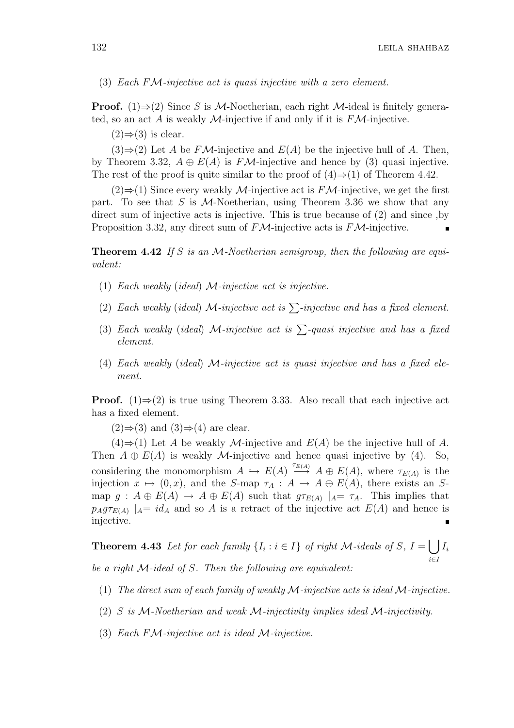132 LEILA SHAHBAZ

(3) Each FM-injective act is quasi injective with a zero element.

**Proof.** (1) $\Rightarrow$ (2) Since S is M-Noetherian, each right M-ideal is finitely generated, so an act A is weakly M-injective if and only if it is  $F\mathcal{M}$ -injective.

 $(2) \Rightarrow (3)$  is clear.

 $(3) \Rightarrow (2)$  Let A be FM-injective and  $E(A)$  be the injective hull of A. Then, by Theorem 3.32,  $A \oplus E(A)$  is FM-injective and hence by (3) quasi injective. The rest of the proof is quite similar to the proof of  $(4) \Rightarrow (1)$  of Theorem 4.42.

 $(2) \Rightarrow (1)$  Since every weakly M-injective act is FM-injective, we get the first part. To see that S is  $M$ -Noetherian, using Theorem 3.36 we show that any direct sum of injective acts is injective. This is true because of (2) and since ,by Proposition 3.32, any direct sum of  $F\mathcal{M}$ -injective acts is  $F\mathcal{M}$ -injective.

**Theorem 4.42** If S is an M-Noetherian semigroup, then the following are equivalent:

- (1) Each weakly (ideal)  $\mathcal{M}\text{-}\text{injective act is injective.}$
- (2) Each weakly (ideal) M-injective act is  $\sum$ -injective and has a fixed element.
- (3) Each weakly (ideal) M-injective act is  $\sum$ -quasi injective and has a fixed element.
- (4) Each weakly (ideal) M-injective act is quasi injective and has a fixed element.

**Proof.** (1) $\Rightarrow$ (2) is true using Theorem 3.33. Also recall that each injective act has a fixed element.

 $(2) \Rightarrow (3)$  and  $(3) \Rightarrow (4)$  are clear.

(4)⇒(1) Let A be weakly M-injective and  $E(A)$  be the injective hull of A. Then  $A \oplus E(A)$  is weakly M-injective and hence quasi injective by (4). So, considering the monomorphism  $A \hookrightarrow E(A) \stackrel{\tau_{E(A)}}{\longrightarrow} A \oplus E(A)$ , where  $\tau_{E(A)}$  is the injection  $x \mapsto (0, x)$ , and the S-map  $\tau_A : A \to A \oplus E(A)$ , there exists an Smap  $g : A \oplus E(A) \to A \oplus E(A)$  such that  $g\tau_{E(A)} |_{A} = \tau_A$ . This implies that  $p_A g \tau_{E(A)}$  | $_A = id_A$  and so A is a retract of the injective act  $E(A)$  and hence is injective.  $\blacksquare$ 

**Theorem 4.43** Let for each family  $\{I_i : i \in I\}$  of right M-ideals of S, I =  $\overline{a}$ i∈I  $I_i$ be a right M-ideal of S. Then the following are equivalent:

- (1) The direct sum of each family of weakly  $\mathcal{M}\text{-}\text{injective}$  acts is ideal  $\mathcal{M}\text{-}\text{injective}$ .
- (2) S is M-Noetherian and weak M-injectivity implies ideal M-injectivity.
- (3) Each  $F\mathcal{M}$ -injective act is ideal  $\mathcal{M}$ -injective.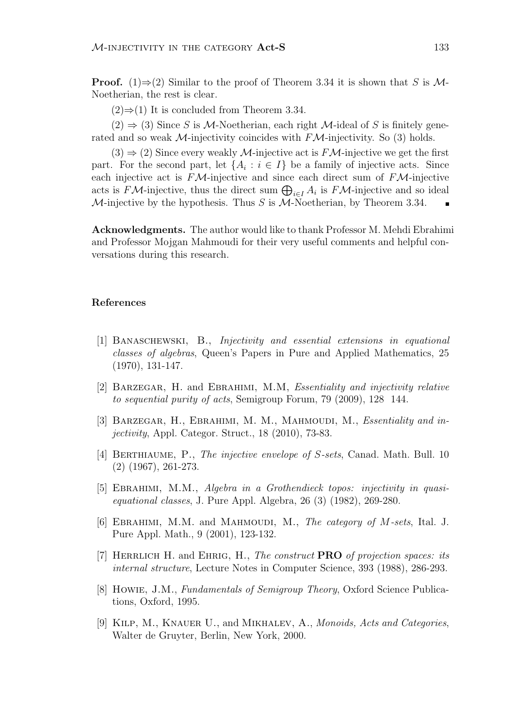**Proof.** (1)⇒(2) Similar to the proof of Theorem 3.34 it is shown that S is M-Noetherian, the rest is clear.

 $(2)$  ⇒ (1) It is concluded from Theorem 3.34.

 $(2) \Rightarrow (3)$  Since S is M-Noetherian, each right M-ideal of S is finitely generated and so weak  $\mathcal{M}$ -injectivity coincides with  $F\mathcal{M}$ -injectivity. So (3) holds.

 $(3) \Rightarrow (2)$  Since every weakly M-injective act is  $F\mathcal{M}$ -injective we get the first part. For the second part, let  $\{A_i : i \in I\}$  be a family of injective acts. Since each injective act is  $F\mathcal{M}$ -injective and since each direct sum of  $F\mathcal{M}$ -injective each injective act is  $\mathbf{F} \mathcal{M}$ -injective and since each direct sum of  $\mathbf{F} \mathcal{M}$ -injective and so ideal acts is  $\mathbf{F} \mathcal{M}$ -injective, thus the direct sum  $\bigoplus_{i \in I} A_i$  is  $\mathbf{F} \mathcal{M}$ -injective and so ide M-injective by the hypothesis. Thus S is M-Noetherian, by Theorem 3.34.

Acknowledgments. The author would like to thank Professor M. Mehdi Ebrahimi and Professor Mojgan Mahmoudi for their very useful comments and helpful conversations during this research.

### References

- [1] Banaschewski, B., Injectivity and essential extensions in equational classes of algebras, Queen's Papers in Pure and Applied Mathematics, 25 (1970), 131-147.
- [2] Barzegar, H. and Ebrahimi, M.M, Essentiality and injectivity relative to sequential purity of acts, Semigroup Forum, 79 (2009), 128 144.
- [3] BARZEGAR, H., EBRAHIMI, M. M., MAHMOUDI, M., Essentiality and injectivity, Appl. Categor. Struct., 18 (2010), 73-83.
- [4] BERTHIAUME, P., The injective envelope of S-sets, Canad. Math. Bull. 10 (2) (1967), 261-273.
- [5] Ebrahimi, M.M., Algebra in a Grothendieck topos: injectivity in quasiequational classes, J. Pure Appl. Algebra, 26 (3) (1982), 269-280.
- [6] EBRAHIMI, M.M. and MAHMOUDI, M., The category of M-sets, Ital. J. Pure Appl. Math., 9 (2001), 123-132.
- [7] HERRLICH H. and EHRIG, H., The construct **PRO** of projection spaces: its internal structure, Lecture Notes in Computer Science, 393 (1988), 286-293.
- [8] Howie, J.M., Fundamentals of Semigroup Theory, Oxford Science Publications, Oxford, 1995.
- [9] KILP, M., KNAUER U., and MIKHALEV, A., Monoids, Acts and Categories, Walter de Gruyter, Berlin, New York, 2000.